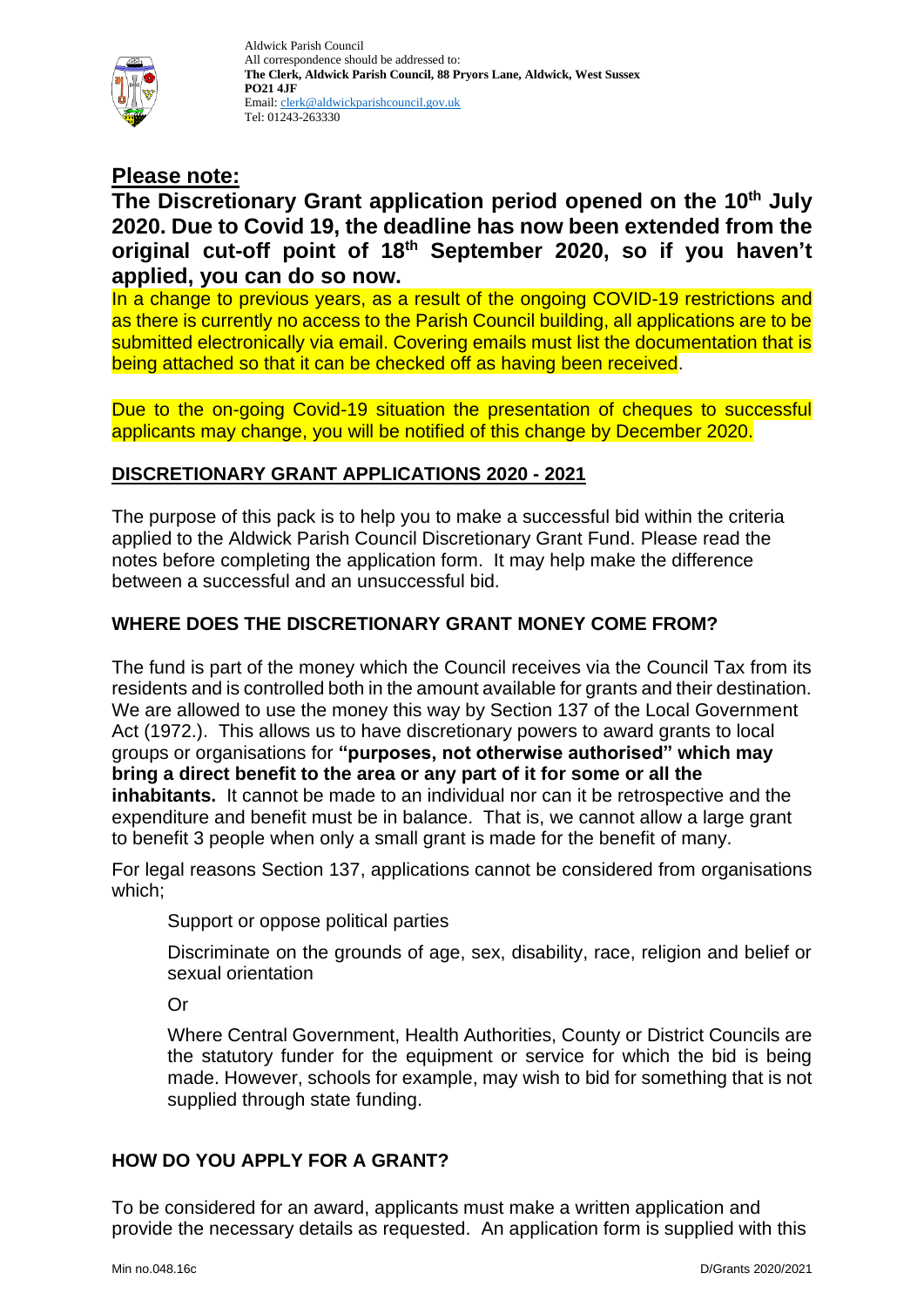

# **Please note:**

# **The Discretionary Grant application period opened on the 10th July 2020. Due to Covid 19, the deadline has now been extended from the original cut-off point of 18th September 2020, so if you haven't applied, you can do so now.**

In a change to previous years, as a result of the ongoing COVID-19 restrictions and as there is currently no access to the Parish Council building, all applications are to be submitted electronically via email. Covering emails must list the documentation that is being attached so that it can be checked off as having been received.

Due to the on-going Covid-19 situation the presentation of cheques to successful applicants may change, you will be notified of this change by December 2020.

## **DISCRETIONARY GRANT APPLICATIONS 2020 - 2021**

The purpose of this pack is to help you to make a successful bid within the criteria applied to the Aldwick Parish Council Discretionary Grant Fund. Please read the notes before completing the application form. It may help make the difference between a successful and an unsuccessful bid.

# **WHERE DOES THE DISCRETIONARY GRANT MONEY COME FROM?**

The fund is part of the money which the Council receives via the Council Tax from its residents and is controlled both in the amount available for grants and their destination. We are allowed to use the money this way by Section 137 of the Local Government Act (1972.). This allows us to have discretionary powers to award grants to local groups or organisations for **"purposes, not otherwise authorised" which may bring a direct benefit to the area or any part of it for some or all the inhabitants.** It cannot be made to an individual nor can it be retrospective and the expenditure and benefit must be in balance. That is, we cannot allow a large grant to benefit 3 people when only a small grant is made for the benefit of many.

For legal reasons Section 137, applications cannot be considered from organisations which;

Support or oppose political parties

Discriminate on the grounds of age, sex, disability, race, religion and belief or sexual orientation

Or

Where Central Government, Health Authorities, County or District Councils are the statutory funder for the equipment or service for which the bid is being made. However, schools for example, may wish to bid for something that is not supplied through state funding.

## **HOW DO YOU APPLY FOR A GRANT?**

To be considered for an award, applicants must make a written application and provide the necessary details as requested. An application form is supplied with this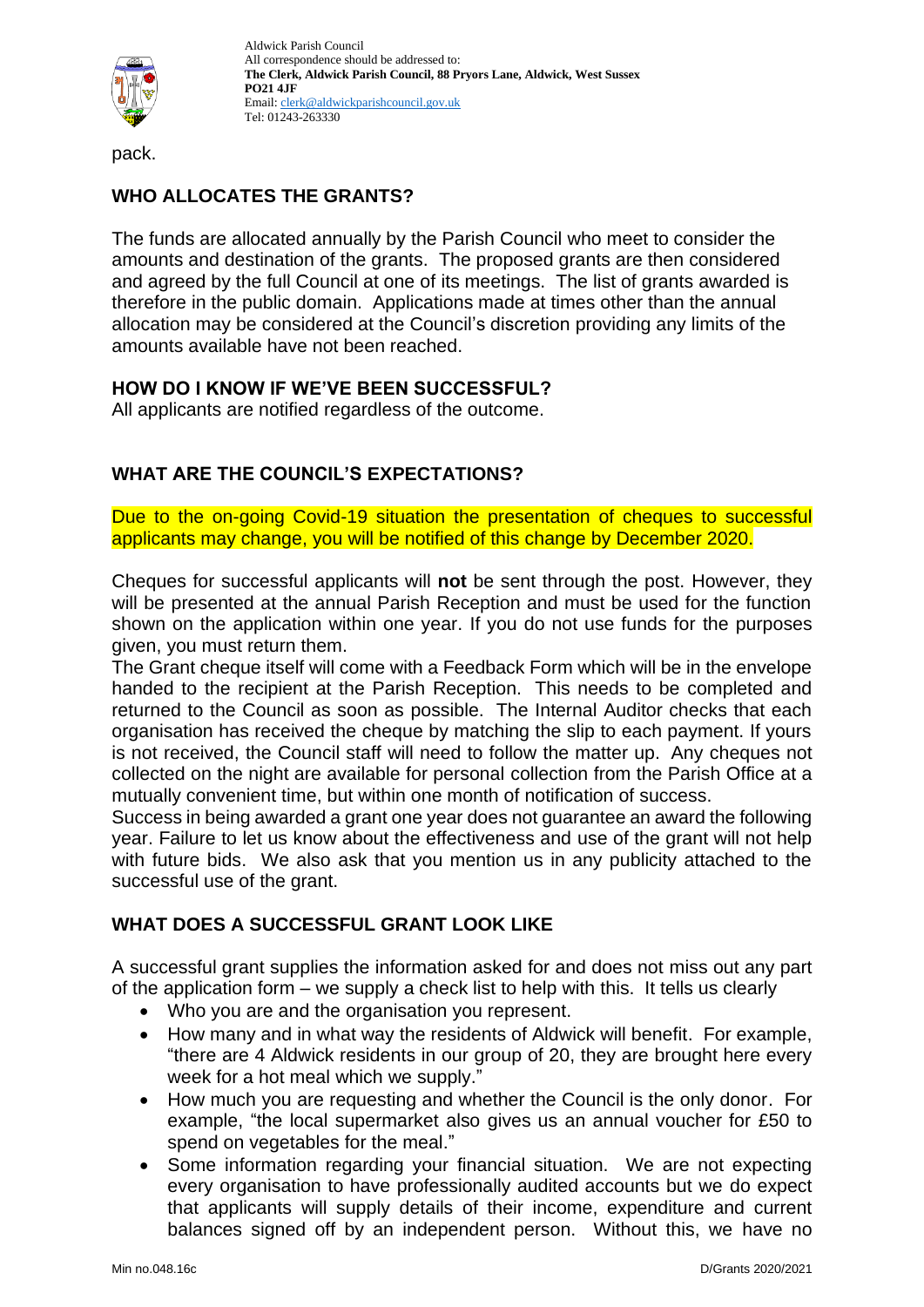

pack.

# **WHO ALLOCATES THE GRANTS?**

The funds are allocated annually by the Parish Council who meet to consider the amounts and destination of the grants. The proposed grants are then considered and agreed by the full Council at one of its meetings. The list of grants awarded is therefore in the public domain. Applications made at times other than the annual allocation may be considered at the Council's discretion providing any limits of the amounts available have not been reached.

#### **HOW DO I KNOW IF WE'VE BEEN SUCCESSFUL?**

All applicants are notified regardless of the outcome.

# **WHAT ARE THE COUNCIL'S EXPECTATIONS?**

Due to the on-going Covid-19 situation the presentation of cheques to successful applicants may change, you will be notified of this change by December 2020.

Cheques for successful applicants will **not** be sent through the post. However, they will be presented at the annual Parish Reception and must be used for the function shown on the application within one year. If you do not use funds for the purposes given, you must return them.

The Grant cheque itself will come with a Feedback Form which will be in the envelope handed to the recipient at the Parish Reception. This needs to be completed and returned to the Council as soon as possible. The Internal Auditor checks that each organisation has received the cheque by matching the slip to each payment. If yours is not received, the Council staff will need to follow the matter up. Any cheques not collected on the night are available for personal collection from the Parish Office at a mutually convenient time, but within one month of notification of success.

Success in being awarded a grant one year does not guarantee an award the following year. Failure to let us know about the effectiveness and use of the grant will not help with future bids. We also ask that you mention us in any publicity attached to the successful use of the grant.

## **WHAT DOES A SUCCESSFUL GRANT LOOK LIKE**

A successful grant supplies the information asked for and does not miss out any part of the application form – we supply a check list to help with this. It tells us clearly

- Who you are and the organisation you represent.
- How many and in what way the residents of Aldwick will benefit. For example, "there are 4 Aldwick residents in our group of 20, they are brought here every week for a hot meal which we supply."
- How much you are requesting and whether the Council is the only donor. For example, "the local supermarket also gives us an annual voucher for £50 to spend on vegetables for the meal."
- Some information regarding your financial situation. We are not expecting every organisation to have professionally audited accounts but we do expect that applicants will supply details of their income, expenditure and current balances signed off by an independent person. Without this, we have no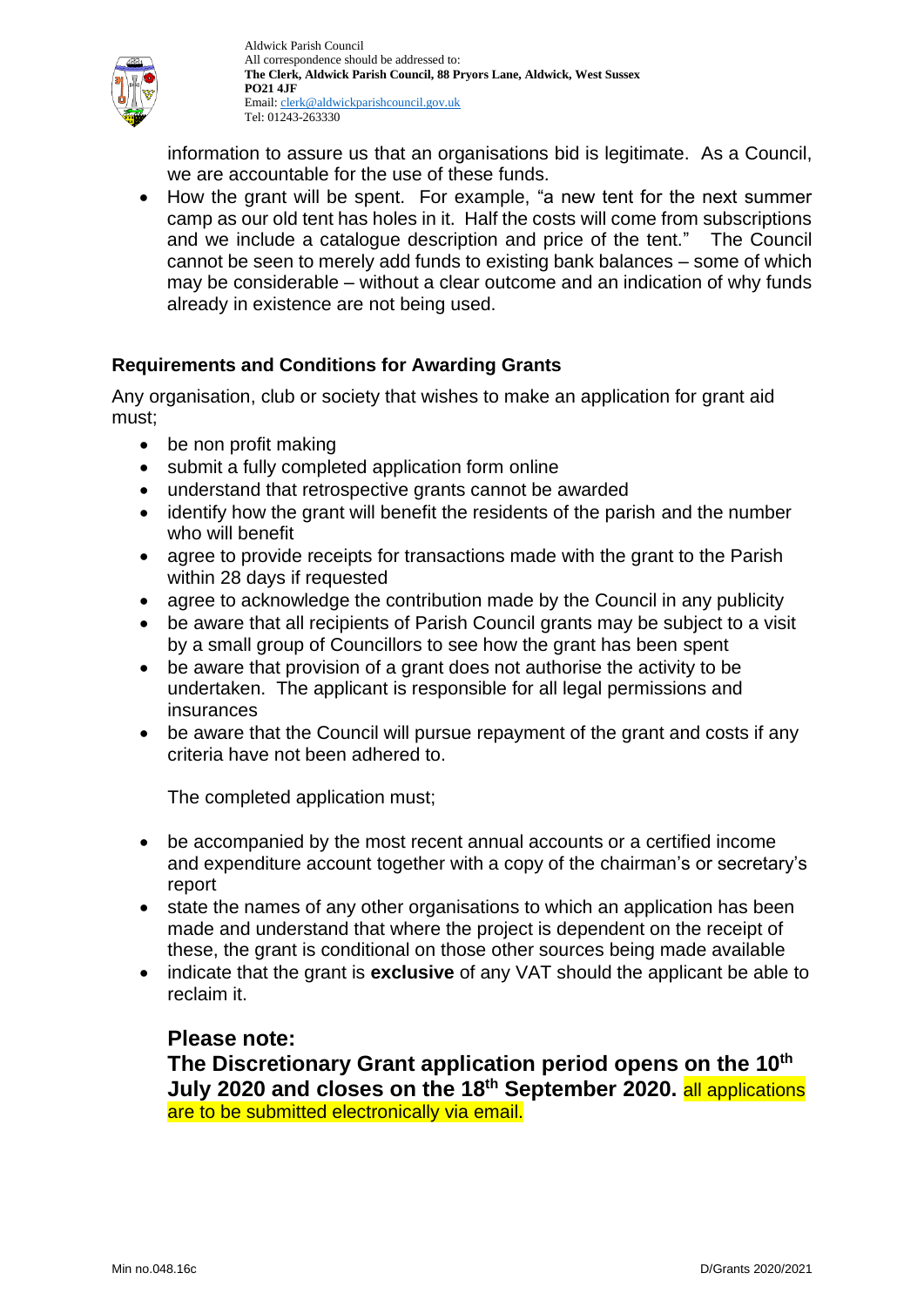

information to assure us that an organisations bid is legitimate. As a Council, we are accountable for the use of these funds.

• How the grant will be spent. For example, "a new tent for the next summer camp as our old tent has holes in it. Half the costs will come from subscriptions and we include a catalogue description and price of the tent." The Council cannot be seen to merely add funds to existing bank balances – some of which may be considerable – without a clear outcome and an indication of why funds already in existence are not being used.

## **Requirements and Conditions for Awarding Grants**

Any organisation, club or society that wishes to make an application for grant aid must;

- be non profit making
- submit a fully completed application form online
- understand that retrospective grants cannot be awarded
- identify how the grant will benefit the residents of the parish and the number who will benefit
- agree to provide receipts for transactions made with the grant to the Parish within 28 days if requested
- agree to acknowledge the contribution made by the Council in any publicity
- be aware that all recipients of Parish Council grants may be subject to a visit by a small group of Councillors to see how the grant has been spent
- be aware that provision of a grant does not authorise the activity to be undertaken. The applicant is responsible for all legal permissions and insurances
- be aware that the Council will pursue repayment of the grant and costs if any criteria have not been adhered to.

The completed application must;

- be accompanied by the most recent annual accounts or a certified income and expenditure account together with a copy of the chairman's or secretary's report
- state the names of any other organisations to which an application has been made and understand that where the project is dependent on the receipt of these, the grant is conditional on those other sources being made available
- indicate that the grant is **exclusive** of any VAT should the applicant be able to reclaim it.

## **Please note:**

**The Discretionary Grant application period opens on the 10th July 2020 and closes on the 18th September 2020.** all applications are to be submitted electronically via email.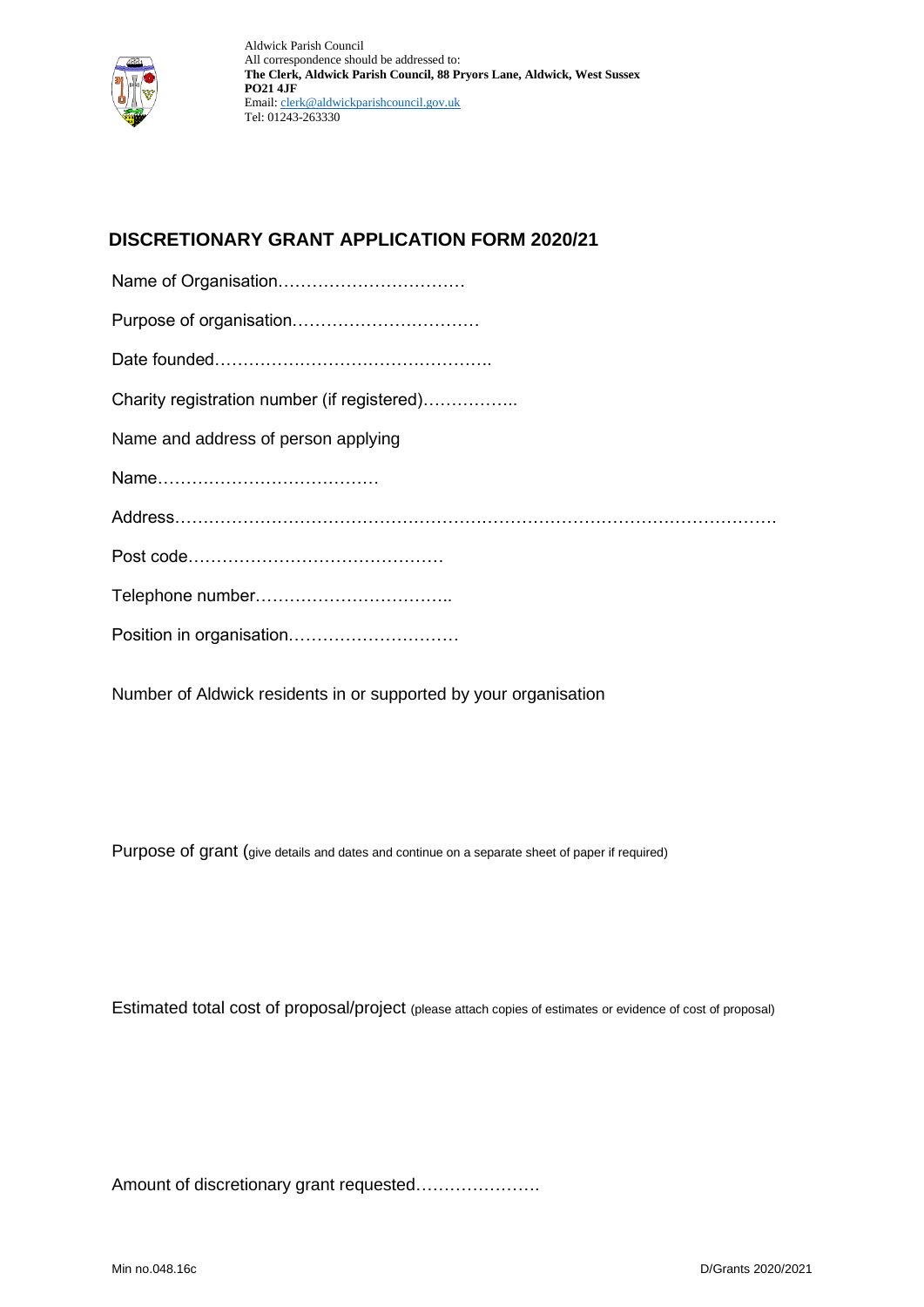

# **DISCRETIONARY GRANT APPLICATION FORM 2020/21**

| Charity registration number (if registered) |
|---------------------------------------------|
| Name and address of person applying         |
|                                             |
|                                             |
|                                             |
|                                             |
| Position in organisation                    |
|                                             |

Number of Aldwick residents in or supported by your organisation

Purpose of grant (give details and dates and continue on a separate sheet of paper if required)

Estimated total cost of proposal/project (please attach copies of estimates or evidence of cost of proposal)

Amount of discretionary grant requested………………….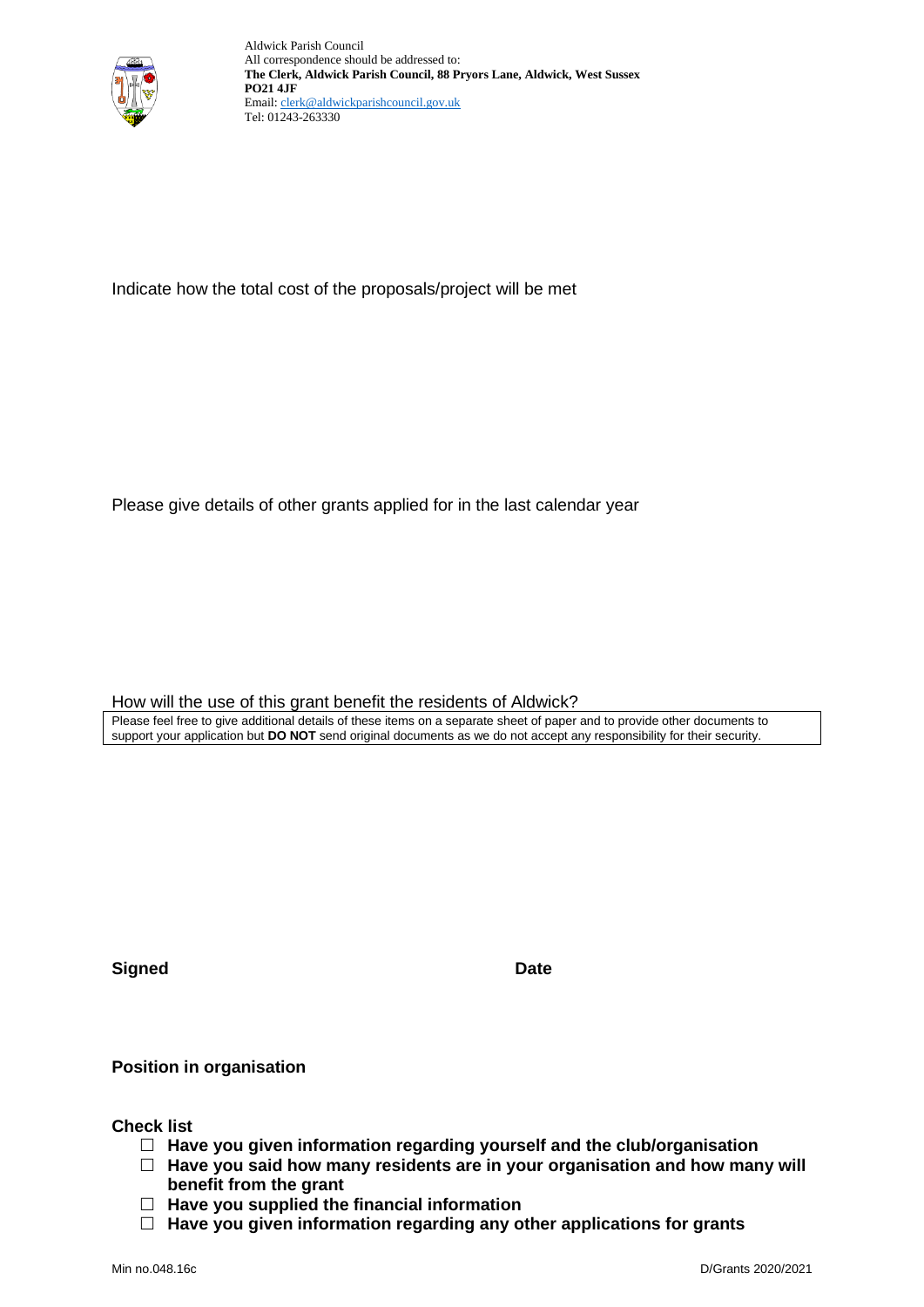

Indicate how the total cost of the proposals/project will be met

Please give details of other grants applied for in the last calendar year

How will the use of this grant benefit the residents of Aldwick?

Please feel free to give additional details of these items on a separate sheet of paper and to provide other documents to support your application but **DO NOT** send original documents as we do not accept any responsibility for their security.

**Signed Date** 

**Position in organisation**

**Check list**

- **Have you given information regarding yourself and the club/organisation**
- **Have you said how many residents are in your organisation and how many will benefit from the grant**
- **Have you supplied the financial information**
- **Have you given information regarding any other applications for grants**